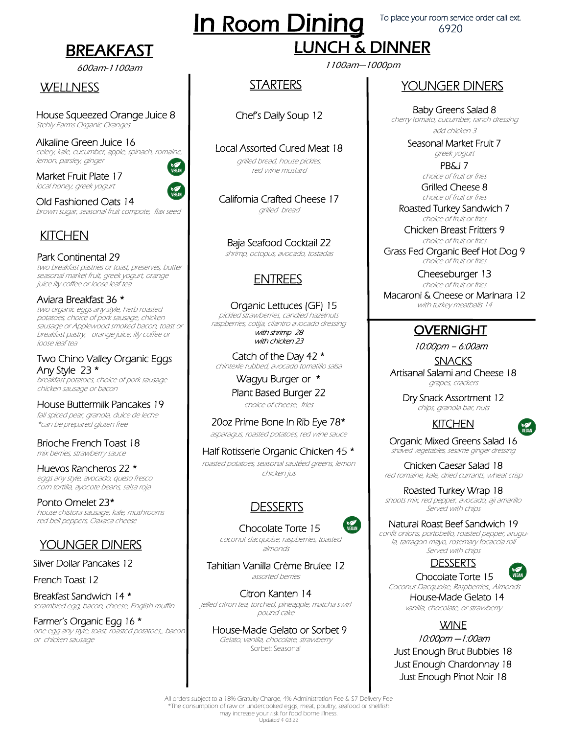## BREAKFAST

#### 600am-1100am

#### **WELLNESS**

House Squeezed Orange Juice 8 Stehly Farms Organic Oranges

Alkaline Green Juice 16 celery, kale, cucumber, apple, spinach, romaine, lemon, parsley, ginger **NOW**<br>VEGAN

Market Fruit Plate 17 local honey, greek yogurt

Old Fashioned Oats 14 brown sugar, seasonal fruit compote, flax seed

## **KITCHEN**

Park Continental 29 two breakfast pastries or toast, preserves, butter seasonal market fruit, greek yogurt, orange juice illy coffee or loose leaf tea

Aviara Breakfast 36 \* two organic eggs any style, herb roasted potatoes, choice of pork sausage, chicken sausage or Applewood smoked bacon, toast or breakfast pastry, orange juice, iIly coffee or loose leaf tea

Two Chino Valley Organic Eggs Any Style 23 \* breakfast potatoes, choice of pork sausage chicken sausage or bacon

House Buttermilk Pancakes 19 fall spiced pear, granola, dulce de leche \*can be prepared gluten free

Brioche French Toast 18 mix berries, strawberry sauce

Huevos Rancheros 22 \* eggs any style, avocado, queso fresco corn tortilla, ayocote beans, salsa roja

Ponto Omelet 23\* house chistora sausage, kale, mushrooms red bell peppers, Oaxaca cheese

#### YOUNGER DINERS

Silver Dollar Pancakes 12

French Toast 12

Breakfast Sandwich 14 \* scrambled egg, bacon, cheese, English muffin

Farmer's Organic Egg 16 \* one egg any style, toast, roasted potatoes,, bacon or chicken sausage

# **In Room Dining**

To place your room service order call ext. 6920

# LUNCH & DINNER

1100am—1000pm

#### **STARTERS**

Chef's Daily Soup 12

Local Assorted Cured Meat 18

grilled bread, house pickles, red wine mustard

California Crafted Cheese 17 grilled bread

Baja Seafood Cocktail 22 shrimp, octopus, avocado, tostadas

## ENTREES

 Organic Lettuces (GF) 15 pickled strawberries, candied hazelnuts raspberries, cotija, cilantro avocado dressing with shrimp 28 with chicken 23

Catch of the Day 42 \* chintexle rubbed, avocado tomatillo salsa

> Wagyu Burger or \* Plant Based Burger 22 choice of cheese, fries

20oz Prime Bone In Rib Eye 78\* asparagus, roasted potatoes, red wine sauce

Half Rotisserie Organic Chicken 45 \* roasted potatoes, seasonal sautéed greens, lemon chicken jus

#### DESSERTS



**N** 

 coconut dacquoise, raspberries, toasted almonds

Tahitian Vanilla Crème Brulee 12 assorted berries

Citron Kanten 14 jelled citron tea, torched, pineapple, matcha swirl pound cake

 House-Made Gelato or Sorbet 9 Gelato; vanilla, chocolate, strawberry Sorbet: Seasonal

#### YOUNGER DINERS

Baby Greens Salad 8 cherry tomato, cucumber, ranch dressing add chicken 3

Seasonal Market Fruit 7

greek yogurt PB&J 7

choice of fruit or fries Grilled Cheese 8

choice of fruit or fries Roasted Turkey Sandwich 7

choice of fruit or fries Chicken Breast Fritters 9

choice of fruit or fries Grass Fed Organic Beef Hot Dog 9 choice of fruit or fries

Cheeseburger 13

choice of fruit or fries Macaroni & Cheese or Marinara 12 with turkey meatballs 14

#### **OVERNIGHT**

10:00pm – 6:00am

SNACKS Artisanal Salami and Cheese 18 grapes, crackers

> Dry Snack Assortment 12 chips, granola bar, nuts





Organic Mixed Greens Salad 16 shaved vegetables, sesame ginger dressing

Chicken Caesar Salad 18 red romaine, kale, dried currants, wheat crisp

Roasted Turkey Wrap 18 shoots mix, red pepper, avocado, aji amarillo Served with chips

Natural Roast Beef Sandwich 19

confit onions, portobello, roasted pepper, arugula, tarragon mayo, rosemary focaccia roll Served with chips





Coconut Dacquoise, Raspberries,, Almonds House-Made Gelato 14 vanilla, chocolate, or strawberry

**WINE** 

10:00pm —1:00am Just Enough Brut Bubbles 18 Just Enough Chardonnay 18 Just Enough Pinot Noir 18

All orders subject to a 18% Gratuity Charge, 4% Administration Fee & \$7 Delivery Fee \*The consumption of raw or undercooked eggs, meat, poultry, seafood or shellfish may increase your risk for food borne illness. Updated 4 03.22